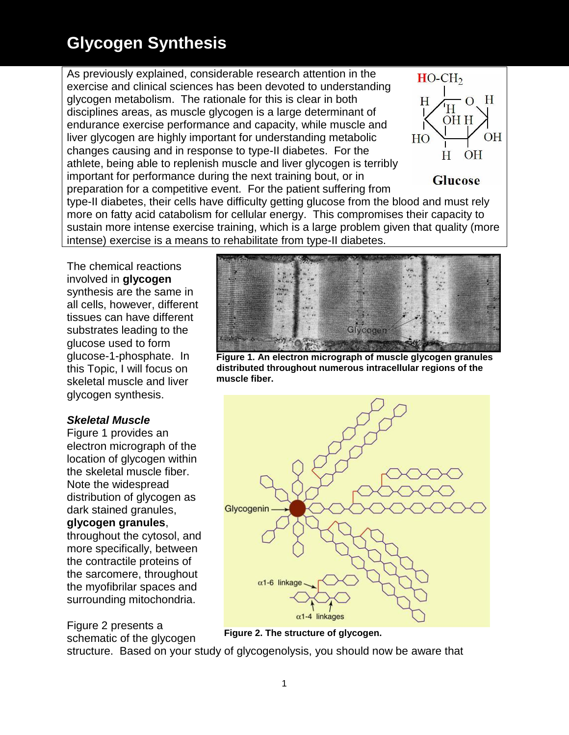As previously explained, considerable research attention in the exercise and clinical sciences has been devoted to understanding glycogen metabolism. The rationale for this is clear in both disciplines areas, as muscle glycogen is a large determinant of endurance exercise performance and capacity, while muscle and liver glycogen are highly important for understanding metabolic changes causing and in response to type-II diabetes. For the athlete, being able to replenish muscle and liver glycogen is terribly important for performance during the next training bout, or in preparation for a competitive event. For the patient suffering from



**Glucose** 

type-II diabetes, their cells have difficulty getting glucose from the blood and must rely more on fatty acid catabolism for cellular energy. This compromises their capacity to sustain more intense exercise training, which is a large problem given that quality (more intense) exercise is a means to rehabilitate from type-II diabetes.

The chemical reactions involved in **glycogen** synthesis are the same in all cells, however, different tissues can have different substrates leading to the glucose used to form glucose-1-phosphate. In this Topic, I will focus on skeletal muscle and liver glycogen synthesis.

#### *Skeletal Muscle*

Figure 1 provides an electron micrograph of the location of glycogen within the skeletal muscle fiber. Note the widespread distribution of glycogen as dark stained granules,

#### **glycogen granules**,

throughout the cytosol, and more specifically, between the contractile proteins of the sarcomere, throughout the myofibrilar spaces and surrounding mitochondria.

Figure 2 presents a schematic of the glycogen



**Figure 1. An electron micrograph of muscle glycogen granules distributed throughout numerous intracellular regions of the muscle fiber.**



**Figure 2. The structure of glycogen.**

structure. Based on your study of glycogenolysis, you should now be aware that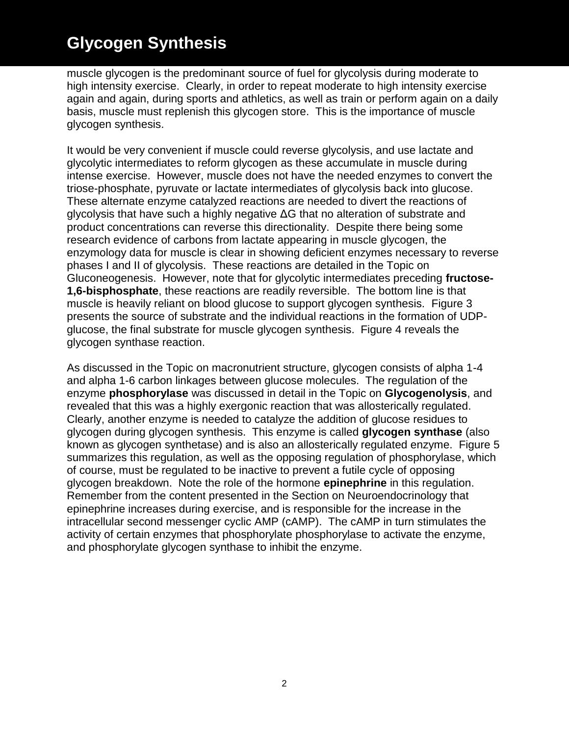muscle glycogen is the predominant source of fuel for glycolysis during moderate to high intensity exercise. Clearly, in order to repeat moderate to high intensity exercise again and again, during sports and athletics, as well as train or perform again on a daily basis, muscle must replenish this glycogen store. This is the importance of muscle glycogen synthesis.

It would be very convenient if muscle could reverse glycolysis, and use lactate and glycolytic intermediates to reform glycogen as these accumulate in muscle during intense exercise. However, muscle does not have the needed enzymes to convert the triose-phosphate, pyruvate or lactate intermediates of glycolysis back into glucose. These alternate enzyme catalyzed reactions are needed to divert the reactions of glycolysis that have such a highly negative ΔG that no alteration of substrate and product concentrations can reverse this directionality. Despite there being some research evidence of carbons from lactate appearing in muscle glycogen, the enzymology data for muscle is clear in showing deficient enzymes necessary to reverse phases I and II of glycolysis. These reactions are detailed in the Topic on Gluconeogenesis. However, note that for glycolytic intermediates preceding **fructose-1,6-bisphosphate**, these reactions are readily reversible. The bottom line is that muscle is heavily reliant on blood glucose to support glycogen synthesis. Figure 3 presents the source of substrate and the individual reactions in the formation of UDPglucose, the final substrate for muscle glycogen synthesis. Figure 4 reveals the glycogen synthase reaction.

As discussed in the Topic on macronutrient structure, glycogen consists of alpha 1-4 and alpha 1-6 carbon linkages between glucose molecules. The regulation of the enzyme **phosphorylase** was discussed in detail in the Topic on **Glycogenolysis**, and revealed that this was a highly exergonic reaction that was allosterically regulated. Clearly, another enzyme is needed to catalyze the addition of glucose residues to glycogen during glycogen synthesis. This enzyme is called **glycogen synthase** (also known as glycogen synthetase) and is also an allosterically regulated enzyme. Figure 5 summarizes this regulation, as well as the opposing regulation of phosphorylase, which of course, must be regulated to be inactive to prevent a futile cycle of opposing glycogen breakdown. Note the role of the hormone **epinephrine** in this regulation. Remember from the content presented in the Section on Neuroendocrinology that epinephrine increases during exercise, and is responsible for the increase in the intracellular second messenger cyclic AMP (cAMP). The cAMP in turn stimulates the activity of certain enzymes that phosphorylate phosphorylase to activate the enzyme, and phosphorylate glycogen synthase to inhibit the enzyme.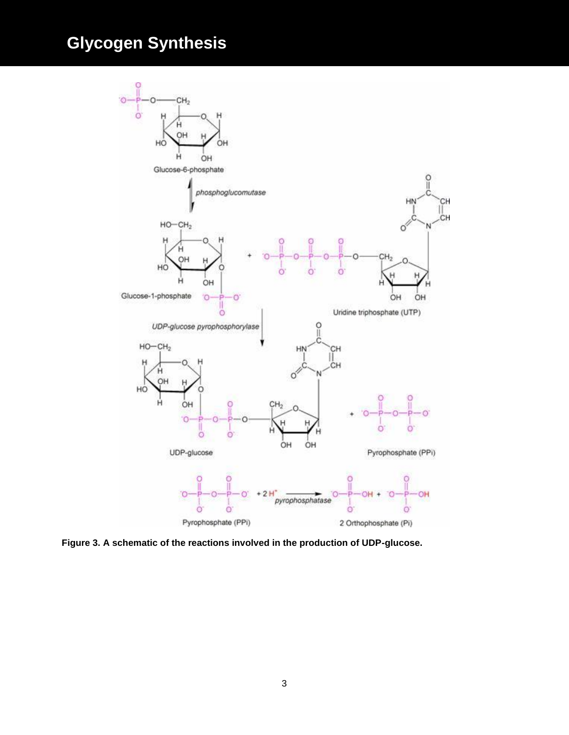

**Figure 3. A schematic of the reactions involved in the production of UDP-glucose.**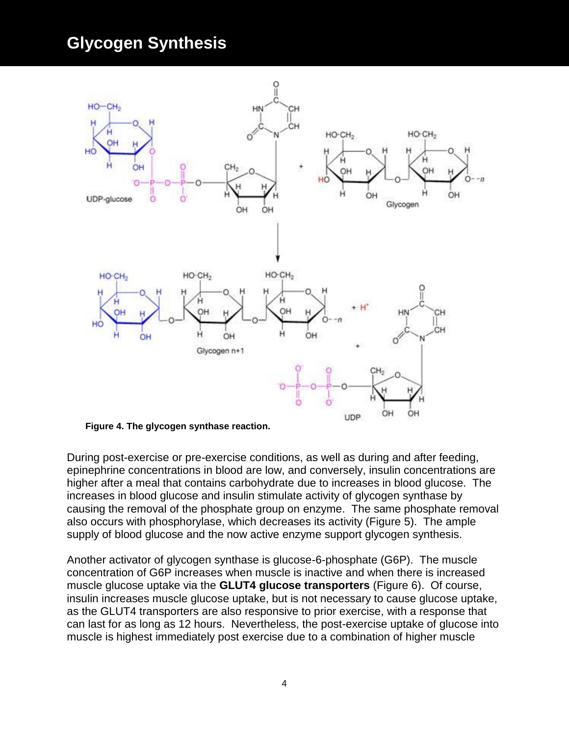

**Figure 4. The glycogen synthase reaction.**

During post-exercise or pre-exercise conditions, as well as during and after feeding, epinephrine concentrations in blood are low, and conversely, insulin concentrations are higher after a meal that contains carbohydrate due to increases in blood glucose. The increases in blood glucose and insulin stimulate activity of glycogen synthase by causing the removal of the phosphate group on enzyme. The same phosphate removal also occurs with phosphorylase, which decreases its activity (Figure 5). The ample supply of blood glucose and the now active enzyme support glycogen synthesis.

Another activator of glycogen synthase is glucose-6-phosphate (G6P). The muscle concentration of G6P increases when muscle is inactive and when there is increased muscle glucose uptake via the **GLUT4 glucose transporters** (Figure 6). Of course, insulin increases muscle glucose uptake, but is not necessary to cause glucose uptake, as the GLUT4 transporters are also responsive to prior exercise, with a response that can last for as long as 12 hours. Nevertheless, the post-exercise uptake of glucose into muscle is highest immediately post exercise due to a combination of higher muscle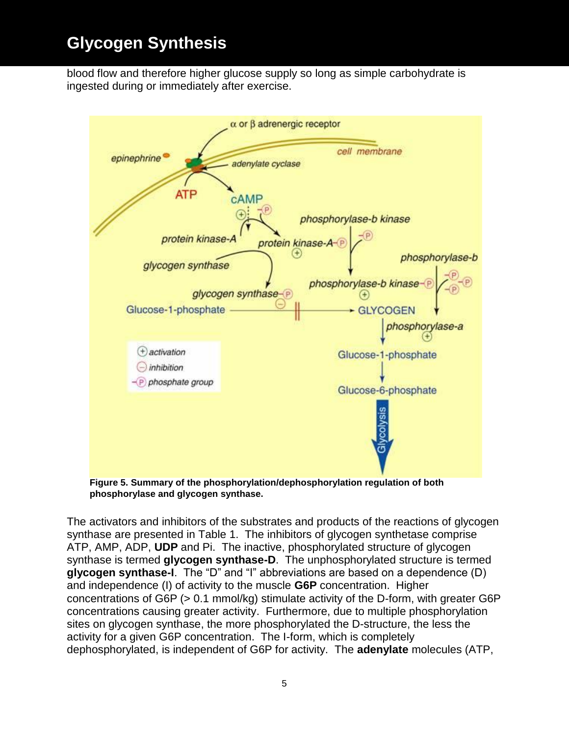blood flow and therefore higher glucose supply so long as simple carbohydrate is ingested during or immediately after exercise.



**Figure 5. Summary of the phosphorylation/dephosphorylation regulation of both phosphorylase and glycogen synthase.**

The activators and inhibitors of the substrates and products of the reactions of glycogen synthase are presented in Table 1. The inhibitors of glycogen synthetase comprise ATP, AMP, ADP, **UDP** and Pi. The inactive, phosphorylated structure of glycogen synthase is termed **glycogen synthase-D**. The unphosphorylated structure is termed **glycogen synthase-I**. The "D" and "I" abbreviations are based on a dependence (D) and independence (I) of activity to the muscle **G6P** concentration. Higher concentrations of G6P (> 0.1 mmol/kg) stimulate activity of the D-form, with greater G6P concentrations causing greater activity. Furthermore, due to multiple phosphorylation sites on glycogen synthase, the more phosphorylated the D-structure, the less the activity for a given G6P concentration. The I-form, which is completely dephosphorylated, is independent of G6P for activity. The **adenylate** molecules (ATP,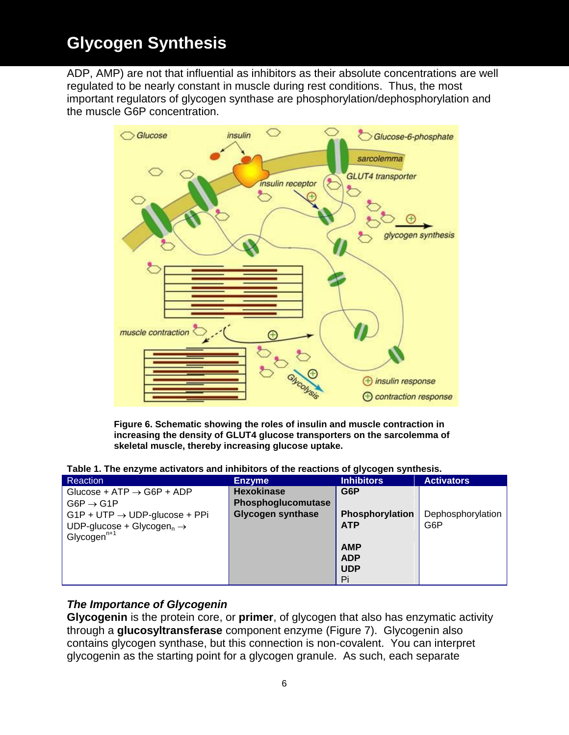ADP, AMP) are not that influential as inhibitors as their absolute concentrations are well regulated to be nearly constant in muscle during rest conditions. Thus, the most important regulators of glycogen synthase are phosphorylation/dephosphorylation and the muscle G6P concentration.



**Figure 6. Schematic showing the roles of insulin and muscle contraction in increasing the density of GLUT4 glucose transporters on the sarcolemma of skeletal muscle, thereby increasing glucose uptake.**

**Table 1. The enzyme activators and inhibitors of the reactions of glycogen synthesis.**

| <b>Reaction</b>                                   | <b>Enzyme</b>            | <b>Inhibitors</b> | <b>Activators</b> |
|---------------------------------------------------|--------------------------|-------------------|-------------------|
| Glucose + ATP $\rightarrow$ G6P + ADP             | <b>Hexokinase</b>        | G6P               |                   |
| $G6P \rightarrow G1P$                             | Phosphoglucomutase       |                   |                   |
| $G1P + UTP \rightarrow UDP\text{-}glucose + PPi$  | <b>Glycogen synthase</b> | Phosphorylation   | Dephosphorylation |
| UDP-glucose + Glycogen <sub>n</sub> $\rightarrow$ |                          | <b>ATP</b>        | G6P               |
| Glycogen $n+1$                                    |                          |                   |                   |
|                                                   |                          | <b>AMP</b>        |                   |
|                                                   |                          | <b>ADP</b>        |                   |
|                                                   |                          | <b>UDP</b>        |                   |
|                                                   |                          | Pi                |                   |

#### *The Importance of Glycogenin*

**Glycogenin** is the protein core, or **primer**, of glycogen that also has enzymatic activity through a **glucosyltransferase** component enzyme (Figure 7). Glycogenin also contains glycogen synthase, but this connection is non-covalent. You can interpret glycogenin as the starting point for a glycogen granule. As such, each separate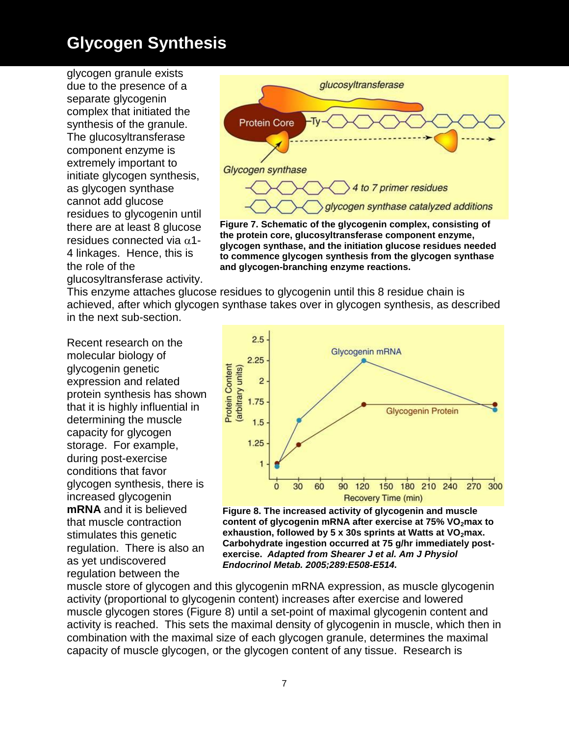glycogen granule exists due to the presence of a separate glycogenin complex that initiated the synthesis of the granule. The glucosyltransferase component enzyme is extremely important to initiate glycogen synthesis, as glycogen synthase cannot add glucose residues to glycogenin until there are at least 8 glucose residues connected via  $\alpha$ 1-4 linkages. Hence, this is the role of the glucosyltransferase activity.



**the protein core, glucosyltransferase component enzyme, glycogen synthase, and the initiation glucose residues needed to commence glycogen synthesis from the glycogen synthase and glycogen-branching enzyme reactions.**

This enzyme attaches glucose residues to glycogenin until this 8 residue chain is achieved, after which glycogen synthase takes over in glycogen synthesis, as described in the next sub-section.

Recent research on the molecular biology of glycogenin genetic expression and related protein synthesis has shown that it is highly influential in determining the muscle capacity for glycogen storage. For example, during post-exercise conditions that favor glycogen synthesis, there is increased glycogenin **mRNA** and it is believed that muscle contraction stimulates this genetic regulation. There is also an as yet undiscovered regulation between the



**Figure 8. The increased activity of glycogenin and muscle**  content of glycogenin mRNA after exercise at 75% VO<sub>2</sub> max to exhaustion, followed by 5 x 30s sprints at Watts at VO<sub>2</sub>max. **Carbohydrate ingestion occurred at 75 g/hr immediately postexercise.** *Adapted from Shearer J et al. Am J Physiol Endocrinol Metab. 2005;289:E508-E514.*

muscle store of glycogen and this glycogenin mRNA expression, as muscle glycogenin activity (proportional to glycogenin content) increases after exercise and lowered muscle glycogen stores (Figure 8) until a set-point of maximal glycogenin content and activity is reached. This sets the maximal density of glycogenin in muscle, which then in combination with the maximal size of each glycogen granule, determines the maximal capacity of muscle glycogen, or the glycogen content of any tissue. Research is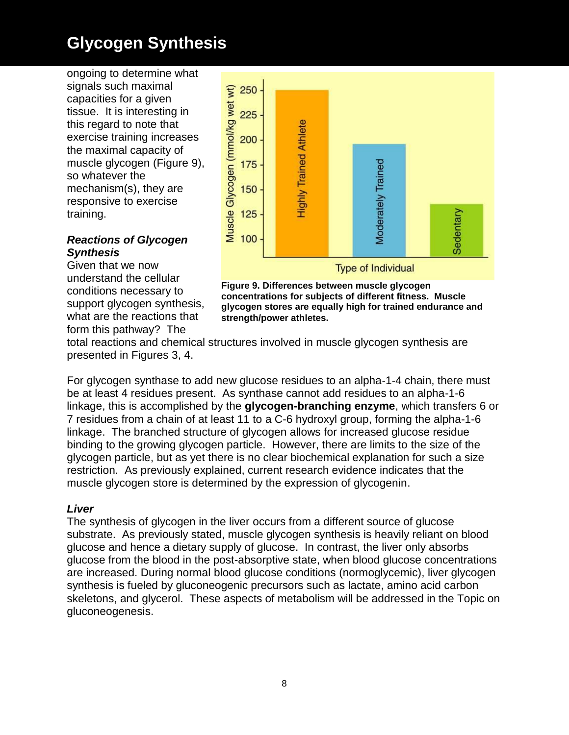ongoing to determine what signals such maximal capacities for a given tissue. It is interesting in this regard to note that exercise training increases the maximal capacity of muscle glycogen (Figure 9), so whatever the mechanism(s), they are responsive to exercise training.

#### *Reactions of Glycogen Synthesis*

Given that we now understand the cellular conditions necessary to support glycogen synthesis, what are the reactions that form this pathway? The



**Figure 9. Differences between muscle glycogen concentrations for subjects of different fitness. Muscle glycogen stores are equally high for trained endurance and strength/power athletes.**

total reactions and chemical structures involved in muscle glycogen synthesis are presented in Figures 3, 4.

For glycogen synthase to add new glucose residues to an alpha-1-4 chain, there must be at least 4 residues present. As synthase cannot add residues to an alpha-1-6 linkage, this is accomplished by the **glycogen-branching enzyme**, which transfers 6 or 7 residues from a chain of at least 11 to a C-6 hydroxyl group, forming the alpha-1-6 linkage. The branched structure of glycogen allows for increased glucose residue binding to the growing glycogen particle. However, there are limits to the size of the glycogen particle, but as yet there is no clear biochemical explanation for such a size restriction. As previously explained, current research evidence indicates that the muscle glycogen store is determined by the expression of glycogenin.

#### *Liver*

The synthesis of glycogen in the liver occurs from a different source of glucose substrate. As previously stated, muscle glycogen synthesis is heavily reliant on blood glucose and hence a dietary supply of glucose. In contrast, the liver only absorbs glucose from the blood in the post-absorptive state, when blood glucose concentrations are increased. During normal blood glucose conditions (normoglycemic), liver glycogen synthesis is fueled by gluconeogenic precursors such as lactate, amino acid carbon skeletons, and glycerol. These aspects of metabolism will be addressed in the Topic on gluconeogenesis.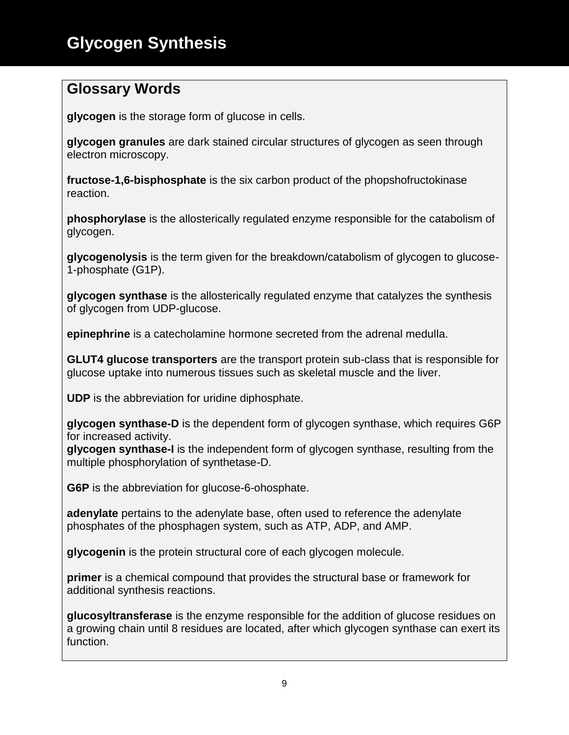### **Glossary Words**

**glycogen** is the storage form of glucose in cells.

**glycogen granules** are dark stained circular structures of glycogen as seen through electron microscopy.

**fructose-1,6-bisphosphate** is the six carbon product of the phopshofructokinase reaction.

**phosphorylase** is the allosterically regulated enzyme responsible for the catabolism of glycogen.

**glycogenolysis** is the term given for the breakdown/catabolism of glycogen to glucose-1-phosphate (G1P).

**glycogen synthase** is the allosterically regulated enzyme that catalyzes the synthesis of glycogen from UDP-glucose.

**epinephrine** is a catecholamine hormone secreted from the adrenal medulla.

**GLUT4 glucose transporters** are the transport protein sub-class that is responsible for glucose uptake into numerous tissues such as skeletal muscle and the liver.

**UDP** is the abbreviation for uridine diphosphate.

**glycogen synthase-D** is the dependent form of glycogen synthase, which requires G6P for increased activity.

**glycogen synthase-I** is the independent form of glycogen synthase, resulting from the multiple phosphorylation of synthetase-D.

**G6P** is the abbreviation for glucose-6-ohosphate.

**adenylate** pertains to the adenylate base, often used to reference the adenylate phosphates of the phosphagen system, such as ATP, ADP, and AMP.

**glycogenin** is the protein structural core of each glycogen molecule.

**primer** is a chemical compound that provides the structural base or framework for additional synthesis reactions.

**glucosyltransferase** is the enzyme responsible for the addition of glucose residues on a growing chain until 8 residues are located, after which glycogen synthase can exert its function.